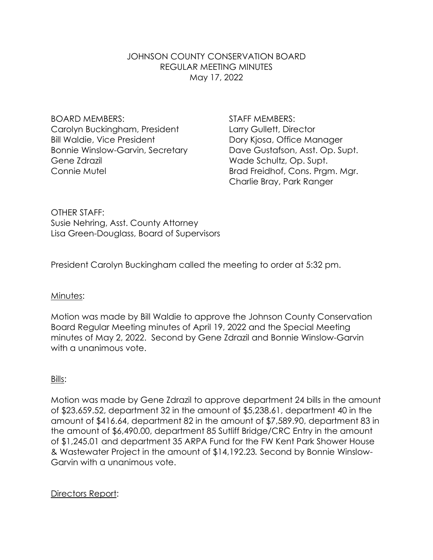## JOHNSON COUNTY CONSERVATION BOARD REGULAR MEETING MINUTES May 17, 2022

BOARD MEMBERS: STAFF MEMBERS: Carolyn Buckingham, President Larry Gullett, Director Bill Waldie, Vice President **Dory Kiosa, Office Manager** Bonnie Winslow-Garvin, Secretary Dave Gustafson, Asst. Op. Supt. Gene Zdrazil **Grand Controller Controller Schultz**, Op. Supt.

Connie Mutel **Brad Freidhof, Cons. Prgm. Mgr.** Charlie Bray, Park Ranger

OTHER STAFF: Susie Nehring, Asst. County Attorney Lisa Green-Douglass, Board of Supervisors

President Carolyn Buckingham called the meeting to order at 5:32 pm.

### Minutes:

Motion was made by Bill Waldie to approve the Johnson County Conservation Board Regular Meeting minutes of April 19, 2022 and the Special Meeting minutes of May 2, 2022. Second by Gene Zdrazil and Bonnie Winslow-Garvin with a unanimous vote.

### Bills:

Motion was made by Gene Zdrazil to approve department 24 bills in the amount of \$23,659.52, department 32 in the amount of \$5,238.61, department 40 in the amount of \$416.64, department 82 in the amount of \$7,589.90, department 83 in the amount of \$6,490.00, department 85 Sutliff Bridge/CRC Entry in the amount of \$1,245.01 and department 35 ARPA Fund for the FW Kent Park Shower House & Wastewater Project in the amount of \$14,192.23*.* Second by Bonnie Winslow-Garvin with a unanimous vote.

Directors Report: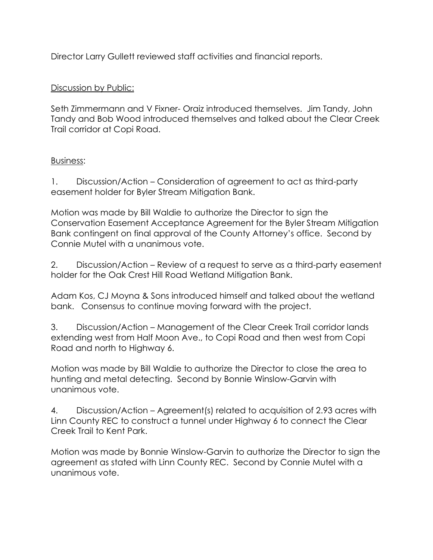Director Larry Gullett reviewed staff activities and financial reports.

# Discussion by Public:

Seth Zimmermann and V Fixner- Oraiz introduced themselves. Jim Tandy, John Tandy and Bob Wood introduced themselves and talked about the Clear Creek Trail corridor at Copi Road.

# Business:

1. Discussion/Action – Consideration of agreement to act as third-party easement holder for Byler Stream Mitigation Bank.

Motion was made by Bill Waldie to authorize the Director to sign the Conservation Easement Acceptance Agreement for the Byler Stream Mitigation Bank contingent on final approval of the County Attorney's office. Second by Connie Mutel with a unanimous vote.

2. Discussion/Action – Review of a request to serve as a third-party easement holder for the Oak Crest Hill Road Wetland Mitigation Bank.

Adam Kos, CJ Moyna & Sons introduced himself and talked about the wetland bank. Consensus to continue moving forward with the project.

3. Discussion/Action – Management of the Clear Creek Trail corridor lands extending west from Half Moon Ave., to Copi Road and then west from Copi Road and north to Highway 6.

Motion was made by Bill Waldie to authorize the Director to close the area to hunting and metal detecting. Second by Bonnie Winslow-Garvin with unanimous vote.

4. Discussion/Action – Agreement(s) related to acquisition of 2.93 acres with Linn County REC to construct a tunnel under Highway 6 to connect the Clear Creek Trail to Kent Park.

Motion was made by Bonnie Winslow-Garvin to authorize the Director to sign the agreement as stated with Linn County REC. Second by Connie Mutel with a unanimous vote.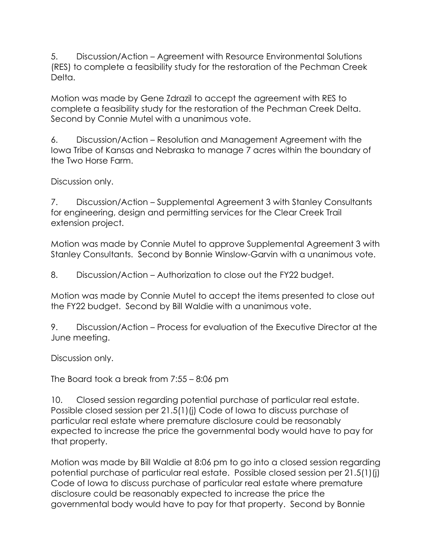5. Discussion/Action – Agreement with Resource Environmental Solutions (RES) to complete a feasibility study for the restoration of the Pechman Creek Delta.

Motion was made by Gene Zdrazil to accept the agreement with RES to complete a feasibility study for the restoration of the Pechman Creek Delta. Second by Connie Mutel with a unanimous vote.

6. Discussion/Action – Resolution and Management Agreement with the Iowa Tribe of Kansas and Nebraska to manage 7 acres within the boundary of the Two Horse Farm.

Discussion only.

7. Discussion/Action – Supplemental Agreement 3 with Stanley Consultants for engineering, design and permitting services for the Clear Creek Trail extension project.

Motion was made by Connie Mutel to approve Supplemental Agreement 3 with Stanley Consultants. Second by Bonnie Winslow-Garvin with a unanimous vote.

8. Discussion/Action – Authorization to close out the FY22 budget.

Motion was made by Connie Mutel to accept the items presented to close out the FY22 budget. Second by Bill Waldie with a unanimous vote.

9. Discussion/Action – Process for evaluation of the Executive Director at the June meeting.

Discussion only.

The Board took a break from 7:55 – 8:06 pm

10. Closed session regarding potential purchase of particular real estate. Possible closed session per 21.5(1)(j) Code of Iowa to discuss purchase of particular real estate where premature disclosure could be reasonably expected to increase the price the governmental body would have to pay for that property.

Motion was made by Bill Waldie at 8:06 pm to go into a closed session regarding potential purchase of particular real estate. Possible closed session per 21.5(1)(j) Code of Iowa to discuss purchase of particular real estate where premature disclosure could be reasonably expected to increase the price the governmental body would have to pay for that property. Second by Bonnie